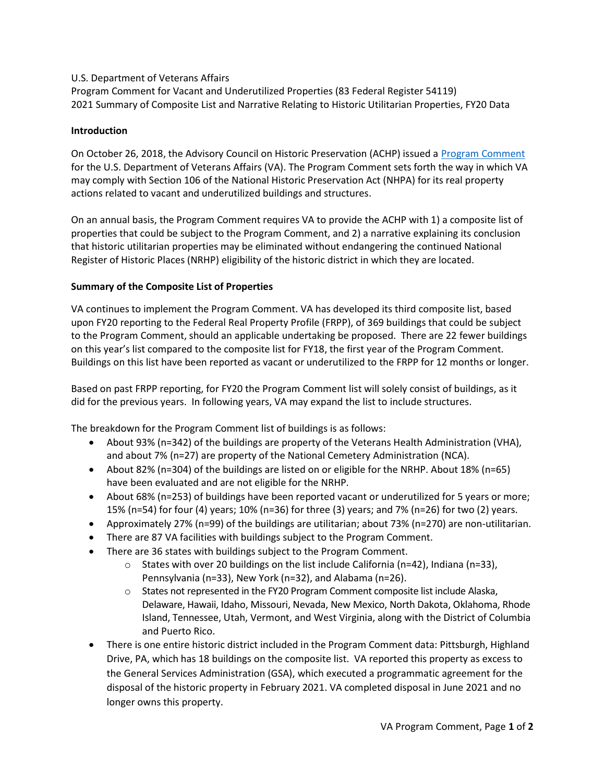## U.S. Department of Veterans Affairs

Program Comment for Vacant and Underutilized Properties (83 Federal Register 54119) 2021 Summary of Composite List and Narrative Relating to Historic Utilitarian Properties, FY20 Data

## Introduction

On October 26, 2018, the Advisory Council on Historic Preservation (ACHP) issued a [Program Comment](https://www.achp.gov/VA/VAProgramComment) for the U.S. Department of Veterans Affairs (VA). The Program Comment sets forth the way in which VA may comply with Section 106 of the National Historic Preservation Act (NHPA) for its real property actions related to vacant and underutilized buildings and structures.

On an annual basis, the Program Comment requires VA to provide the ACHP with 1) a composite list of properties that could be subject to the Program Comment, and 2) a narrative explaining its conclusion that historic utilitarian properties may be eliminated without endangering the continued National Register of Historic Places (NRHP) eligibility of the historic district in which they are located.

## Summary of the Composite List of Properties

VA continues to implement the Program Comment. VA has developed its [third composite list](https://www.achp.gov/sites/default/files/2021-06/VA%202021%20PC%20Vacant%20and%20Underutilized%20List%20%28FY20%20data%29.xlsx), based upon FY20 reporting to the Federal Real Property Profile (FRPP), of 369 buildings that could be subject to the Program Comment, should an applicable undertaking be proposed. There are 22 fewer buildings on this year's list compared to the composite list for FY18, the first year of the Program Comment. Buildings on this list have been reported as vacant or underutilized to the FRPP for 12 months or longer.

Based on past FRPP reporting, for FY20 the Program Comment list will solely consist of buildings, as it did for the previous years. In following years, VA may expand the list to include structures.

The breakdown for the Program Comment list of buildings is as follows:

- About 93% (n=342) of the buildings are property of the Veterans Health Administration (VHA), and about 7% (n=27) are property of the National Cemetery Administration (NCA).
- About 82% (n=304) of the buildings are listed on or eligible for the NRHP. About 18% (n=65) have been evaluated and are not eligible for the NRHP.
- About 68% (n=253) of buildings have been reported vacant or underutilized for 5 years or more; 15% (n=54) for four (4) years; 10% (n=36) for three (3) years; and 7% (n=26) for two (2) years.
- Approximately 27% (n=99) of the buildings are utilitarian; about 73% (n=270) are non-utilitarian.
- There are 87 VA facilities with buildings subject to the Program Comment.
- There are 36 states with buildings subject to the Program Comment.
	- $\circ$  States with over 20 buildings on the list include California (n=42), Indiana (n=33), Pennsylvania (n=33), New York (n=32), and Alabama (n=26).
	- $\circ$  States not represented in the FY20 Program Comment composite list include Alaska, Delaware, Hawaii, Idaho, Missouri, Nevada, New Mexico, North Dakota, Oklahoma, Rhode Island, Tennessee, Utah, Vermont, and West Virginia, along with the District of Columbia and Puerto Rico.
- There is one entire historic district included in the Program Comment data: Pittsburgh, Highland Drive, PA, which has 18 buildings on the composite list. VA reported this property as excess to the General Services Administration (GSA), which executed a programmatic agreement for the disposal of the historic property in February 2021. VA completed disposal in June 2021 and no longer owns this property.